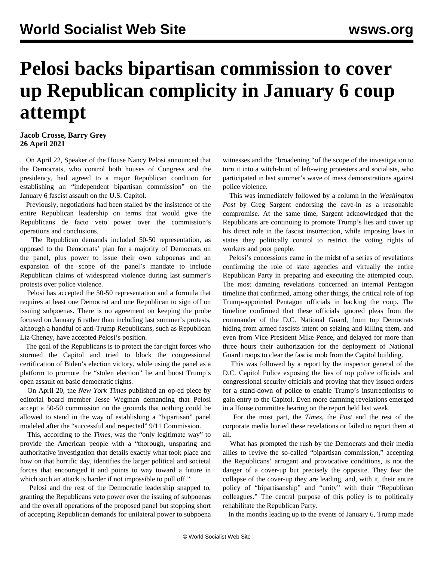## **Pelosi backs bipartisan commission to cover up Republican complicity in January 6 coup attempt**

## **Jacob Crosse, Barry Grey 26 April 2021**

 On April 22, Speaker of the House Nancy Pelosi announced that the Democrats, who control both houses of Congress and the presidency, had agreed to a major Republican condition for establishing an "independent bipartisan commission" on the January 6 fascist assault on the U.S. Capitol.

 Previously, negotiations had been stalled by the insistence of the entire Republican leadership on terms that would give the Republicans de facto veto power over the commission's operations and conclusions.

 The Republican demands included 50-50 representation, as opposed to the Democrats' plan for a majority of Democrats on the panel, plus power to issue their own subpoenas and an expansion of the scope of the panel's mandate to include Republican claims of widespread violence during last summer's protests over police violence.

 Pelosi has accepted the 50-50 representation and a formula that requires at least one Democrat and one Republican to sign off on issuing subpoenas. There is no agreement on keeping the probe focused on January 6 rather than including last summer's protests, although a handful of anti-Trump Republicans, such as Republican Liz Cheney, have accepted Pelosi's position.

 The goal of the Republicans is to protect the far-right forces who stormed the Capitol and tried to block the congressional certification of Biden's election victory, while using the panel as a platform to promote the "stolen election" lie and boost Trump's open assault on basic democratic rights.

 On April 20, the *New York Times* published an op-ed piece by editorial board member Jesse Wegman demanding that Pelosi accept a 50-50 commission on the grounds that nothing could be allowed to stand in the way of establishing a "bipartisan" panel modeled after the "successful and respected" 9/11 Commission.

 This, according to the *Times*, was the "only legitimate way" to provide the American people with a "thorough, unsparing and authoritative investigation that details exactly what took place and how on that horrific day, identifies the larger political and societal forces that encouraged it and points to way toward a future in which such an attack is harder if not impossible to pull off."

 Pelosi and the rest of the Democratic leadership snapped to, granting the Republicans veto power over the issuing of subpoenas and the overall operations of the proposed panel but stopping short of accepting Republican demands for unilateral power to subpoena

witnesses and the "broadening "of the scope of the investigation to turn it into a witch-hunt of left-wing protesters and socialists, who participated in last summer's wave of mass demonstrations against police violence.

 This was immediately followed by a column in the *Washington Post* by Greg Sargent endorsing the cave-in as a reasonable compromise. At the same time, Sargent acknowledged that the Republicans are continuing to promote Trump's lies and cover up his direct role in the fascist insurrection, while imposing laws in states they politically control to restrict the voting rights of workers and poor people.

 Pelosi's concessions came in the midst of a series of revelations confirming the role of state agencies and virtually the entire Republican Party in preparing and executing the attempted coup. The most damning revelations concerned an [internal Pentagon](/en/articles/2021/04/12/coup-a12.html) [timeline](/en/articles/2021/04/12/coup-a12.html) that confirmed, among other things, the critical role of top Trump-appointed Pentagon officials in backing the coup. The timeline confirmed that these officials ignored pleas from the commander of the D.C. National Guard, from top Democrats hiding from armed fascists intent on seizing and killing them, and even from Vice President Mike Pence, and delayed for more than three hours their authorization for the deployment of National Guard troops to clear the fascist mob from the Capitol building.

 This was followed by a [report by the inspector general of the](/en/articles/2021/04/15/pers-a15.html) [D.C. Capitol Police](/en/articles/2021/04/15/pers-a15.html) exposing the lies of top police officials and congressional security officials and proving that they issued orders for a stand-down of police to enable Trump's insurrectionists to gain entry to the Capitol. Even more damning revelations emerged in a [House committee hearing](/en/articles/2021/04/23/coup-a23.html) on the report held last week.

 For the most part, the *Times*, the *Post* and the rest of the corporate media buried these revelations or failed to report them at all.

 What has prompted the rush by the Democrats and their media allies to revive the so-called "bipartisan commission," accepting the Republicans' arrogant and provocative conditions, is not the danger of a cover-up but precisely the opposite. They fear the collapse of the cover-up they are leading, and, with it, their entire policy of "bipartisanship" and "unity" with their "Republican colleagues." The central purpose of this policy is to politically rehabilitate the Republican Party.

In the months leading up to the events of January 6, Trump made